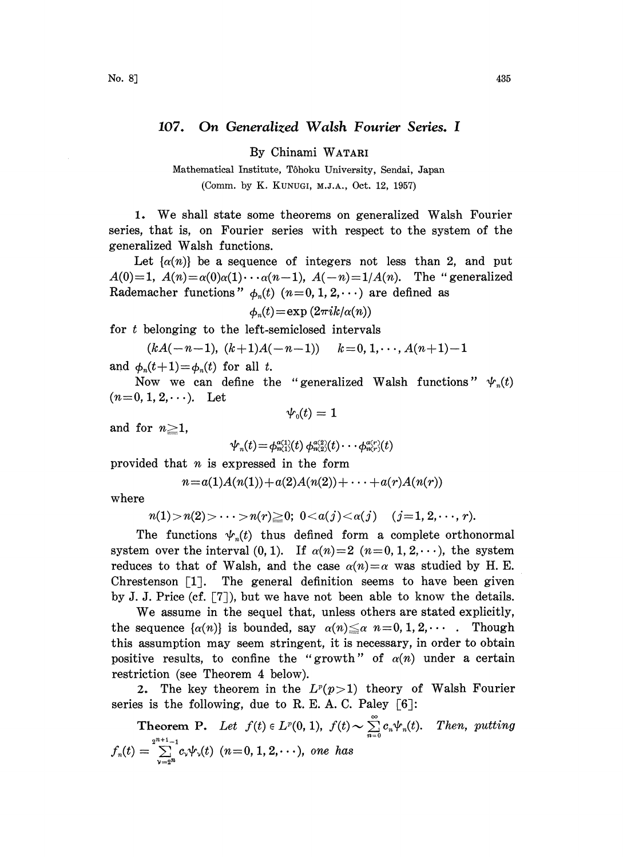## 107. On Generalized Walsh Fourier Series. <sup>I</sup>

By Chinami WATARI

Mathematical Institute, T6hoku University, Sendai, Japan (Comm. by K. KUNUGI, M.J.A., Oct. 12, 1957)

1. We shall state some theorems on generalized Walsh Fourier series, that is, on Fourier series with respect to the system of the generalized Walsh functions.

Let  $\{\alpha(n)\}\$ be a sequence of integers not less than 2, and put  $A(0)=1$ ,  $A(n)=\alpha(0)\alpha(1)\cdots\alpha(n-1)$ ,  $A(-n)=1/A(n)$ . The "generalized Rademacher functions"  $\phi_n(t)$   $(n=0, 1, 2, \cdots)$  are defined as

$$
\phi_n(t) = \exp(2\pi i k/\alpha(n))
$$

for <sup>t</sup> belonging to the left-semiclosed intervals

$$
(kA(-n-1), (k+1)A(-n-1))
$$
  $k=0, 1, \dots, A(n+1)-1$ 

and  $\phi_n(t+1)=\phi_n(t)$  for all t.

Now we can define the "generalized Walsh functions"  $\psi_n(t)$  $(n=0, 1, 2, \dots).$  Let

$$
\boldsymbol{\psi}_{\scriptscriptstyle{0}}(t)=1
$$

and for  $n \geq 1$ ,

$$
\psi_n(t) = \phi_{n(1)}^{a(1)}(t) \ \phi_{n(2)}^{a(2)}(t) \cdots \phi_{n(r)}^{a(r)}(t)
$$

provided that  $n$  is expressed in the form

$$
n = a(1)A(n(1)) + a(2)A(n(2)) + \cdots + a(r)A(n(r))
$$

where

$$
n(1) > n(2) > \cdots > n(r) \geq 0; 0 < a(j) < a(j)
$$
  $(j=1, 2, \cdots, r).$ 

The functions  $\psi_n(t)$  thus defined form a complete orthonormal system over the interval (0, 1). If  $\alpha(n)=2$   $(n=0, 1, 2, \dots)$ , the system reduces to that of Walsh, and the case  $\alpha(n) = \alpha$  was studied by H. E. Chrestenson  $\lceil 1 \rceil$ . The general definition seems to have been given by J. J. Price (cf. [7]), but we have not been able to know the details.

We assume in the sequel that, unless others are stated explicitly, the sequence  $\{\alpha(n)\}\$ is bounded, say  $\alpha(n)\leq \alpha$  n=0, 1, 2,.... Though this assumption may seem stringent, it is necessary, in order to obtain positive results, to confine the "growth" of  $\alpha(n)$  under a certain restriction (see Theorem 4 below).

2. The key theorem in the  $L^p(p>1)$  theory of Walsh Fourier series is the following, due to R. E. A. C. Paley  $\lceil 6 \rceil$ :

**Theorem P.** Let  $f(t) \in L^p(0, 1)$ ,  $f(t) \sim \sum_{n=0}^{\infty} c_n \psi_n(t)$ . Then, putting  $f_n(t)=\sum_1^{2^{n+1}-1}c_\nu\psi_\nu(t)$   $(n\!=\!0,1,2,\!\cdots)$ , one has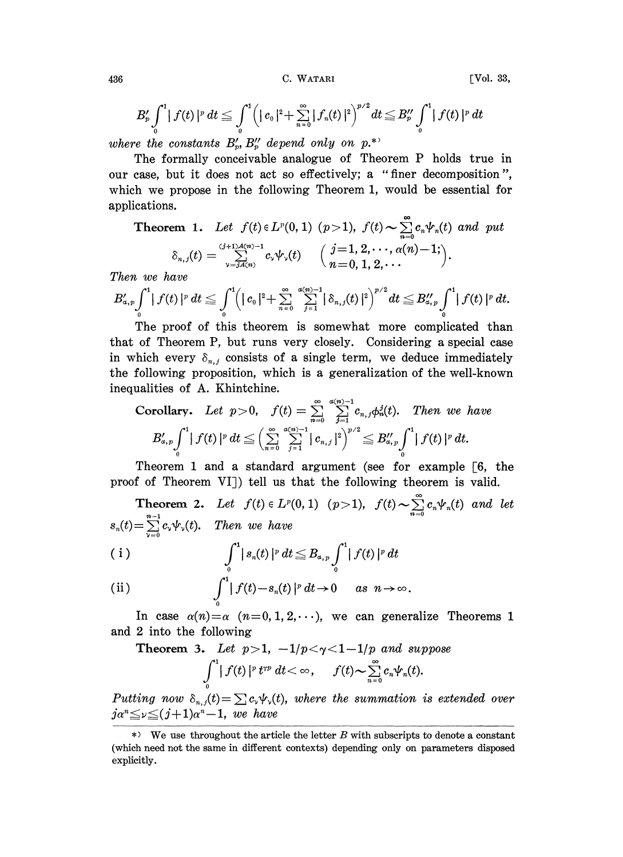C. WATARI

[Vol. 33,

$$
B'_{p}\int_{0}^{1} |f(t)|^{p} dt \leq \int_{0}^{1} (|c_{0}|^{2} + \sum_{n=0}^{\infty} |f_{n}(t)|^{2})^{p/2} dt \leq B''_{p}\int_{0}^{1} |f(t)|^{p} dt
$$

where the constants  $B'_p$ ,  $B''_p$  depend only on p.\*

The formally conceivable analogue of Theorem P holds true in our case, but it does not act so effectively; a "finer decomposition", which we propose in the following Theorem 1, would be essential for applications.

Theorem 1. Let 
$$
f(t) \in L^p(0, 1)
$$
  $(p > 1)$ ,  $f(t) \sim \sum_{n=0}^{\infty} c_n \psi_n(t)$  and put  
\n
$$
\delta_{n,j}(t) = \sum_{\nu=jA(n)}^{(j+1)A(n)-1} c_{\nu} \psi_{\nu}(t) \quad \left(\begin{array}{c} j=1, 2, \dots, \alpha(n)-1; \\ n=0, 1, 2, \dots \end{array}\right).
$$

Then we have

$$
B'_{a,p}\int_0^1 |f(t)|^p\,dt\leq \int_0^1 \Bigl(|c_0|^2+\sum_{n=0}^\infty\sum_{j=1}^{a(n)-1}|\delta_{n,j}(t)|^2\Bigr)^{p/2}dt\leq B''_{a,p}\int_0^1 |f(t)|^p\,dt.
$$

The proof of this theorem is somewhat more complicated than that of Theorem P, but runs very closely. Considering a special case in which every  $\delta_{n,j}$  consists of a single term, we deduce immediately the following proposition, which is a generalization of the well-known inequalities of A. Khintchine.

Corollary. Let 
$$
p > 0
$$
,  $f(t) = \sum_{n=0}^{\infty} \sum_{j=1}^{\infty} c_{n,j} \phi_n^j(t)$ . Then we have  
\n
$$
B'_{\alpha,p} \int_0^1 |f(t)|^p dt \leq \left(\sum_{n=0}^{\infty} \sum_{j=1}^{\alpha(n)-1} |c_{n,j}|^2\right)^{p/2} \leq B''_{\alpha,p} \int_0^1 |f(t)|^p dt.
$$

Theorem 1 and a standard argument (see for example  $[6,$  the proof of Theorem VI]) tell us that the following theorem is valid.

**Theorem 2.** Let  $f(t) \in L^p(0, 1)$   $(p > 1)$ ,  $f(t) \sim \sum_{n=0}^{\infty} c_n \psi_n(t)$  and let  $s_n(t) = \sum_{n=0}^{n-1} c_n \psi_n(t)$ . Then we have

$$
\int_{0}^{1} |s_{n}(t)|^{p} dt \leq B_{a, p} \int_{0}^{1} |f(t)|^{p} dt
$$

(ii) 
$$
\int_0^1 |f(t)-s_n(t)|^p dt \to 0 \quad as \quad n \to \infty
$$

In case  $\alpha(n) = \alpha$   $(n=0,1,2,\dots)$ , we can generalize Theorems 1 and 2 into the following

**Theorem 3.** Let  $p>1$ ,  $-1/p < \gamma < 1-1/p$  and suppose

$$
\int\limits_{0}^{1} \mid f(t) \mid^{p} t^{rp} \ dt < \infty , \quad \ f(t) \thicksim \sum\limits_{n=0}^{\infty} c_{n} \psi_{n}(t).
$$

Putting now  $\delta_{n,j}(t) = \sum c_{\nu} \psi_{\nu}(t)$ , where the summation is extended over  $j\alpha^{n} \leq \nu \leq (j+1)\alpha^{n}-1$ , we have

436

 $\ast$  We use throughout the article the letter B with subscripts to denote a constant (which need not the same in different contexts) depending only on parameters disposed explicitly.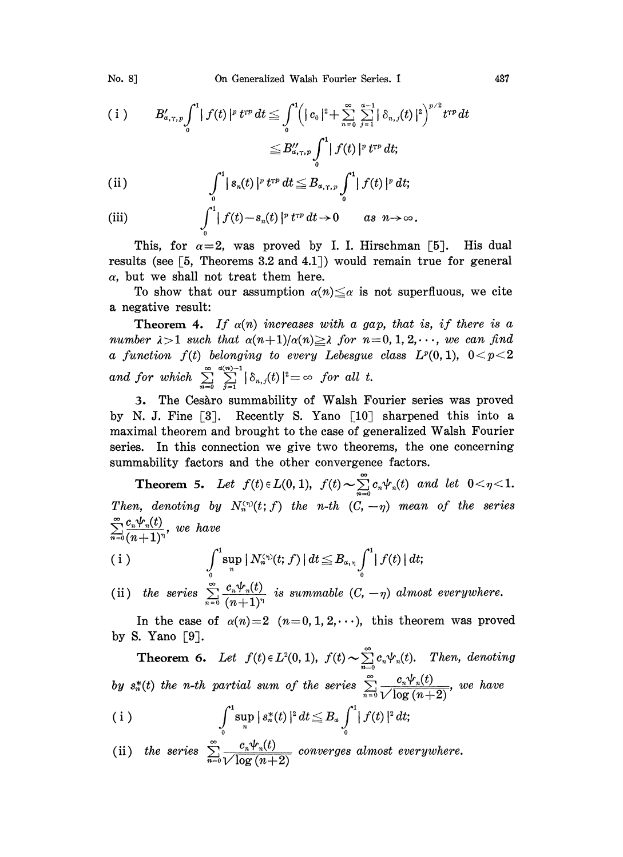No. 8]

$$
\begin{array}{lll} \left( \, \, \mathrm{i} \, \, \right) & B'_{a,\tau,\, p} \int\limits_{0}^{1} \big| \, f(t) \, |^{p} \, t^{rp} \, dt \leq \int\limits_{0}^{1} \Bigl( \, | \, c_{\scriptscriptstyle{0}} \, |^{2} + \sum\limits_{n=0}^{\infty} \, \sum\limits_{j=1}^{a-1} \bigl| \, \delta_{n,\, j}(t) \, |^{2} \Bigr)^{p/2} \, t^{rp} \, dt \\ & \leq B''_{a,\tau,\, p} \int\limits_{0}^{1} \bigl| \, f(t) \, |^{p} \, t^{rp} \, dt; \end{array}
$$

(ii) 
$$
\int_{0}^{1} |s_{n}(t)|^{p} t^{rp} dt \leq B_{a,\tau,p} \int_{0}^{1} |f(t)|^{p} dt;
$$

(iii) 
$$
\int_0^1 |f(t)-s_n(t)|^p t^{rp} dt \to 0 \quad as \quad n \to \infty.
$$

This, for  $\alpha=2$ , was proved by I. I. Hirschman [5]. His dual results (see  $\lceil 5$ , Theorems 3.2 and 4.1) would remain true for general  $\alpha$ , but we shall not treat them here.

To show that our assumption  $\alpha(n) \leq \alpha$  is not superfluous, we cite a negative result:

**Theorem 4.** If  $\alpha(n)$  increases with a gap, that is, if there is a number  $\lambda > 1$  such that  $\alpha(n+1)/\alpha(n) \geq \lambda$  for  $n = 0, 1, 2, \dots$ , we can find a function  $f(t)$  belonging to every Lebesgue class  $L^p(0,1)$ ,  $0 < p < 2$ and for which  $\sum_{n=0}^{\infty}\sum_{j=1}^{a(n)-1}|\delta_{n,j}(t)|^2=\infty$  for all t.

3. The Cesaro summability of Walsh Fourier series was proved by N. J. Fine [3]. Recently S. Yano  $\lceil 10 \rceil$  sharpened this into a maximal theorem and brought to the case of generalized Walsh Fourier series. In this connection we give two theorems, the one concerning summability factors and the other convergence factors.

**Theorem 5.** Let  $f(t) \in L(0, 1)$ ,  $f(t) \sim \sum_{n=0}^{\infty} c_n \psi_n(t)$  and let  $0 < \eta < 1$ . Then, denoting by  $N_n^{(\eta)}(t;f)$  the n-th  $(C, -\eta)$  mean of the series  $\sum_{n=0}^{\infty} \frac{c_n \psi_n(t)}{(n+1)^n}$ , we have

(i) 
$$
\int_{0}^{1} \sup_{n} |N_{n}^{(n)}(t; f)| dt \leq B_{a, \eta} \int_{0}^{1} |f(t)| dt;
$$

(ii) the series  $\sum_{n=0}^{\infty} \frac{c_n \psi_n(t)}{(n+1)^n}$  is summable  $(C, -\eta)$  almost everywhere.

In the case of  $\alpha(n)=2$   $(n=0,1,2,\cdots)$ , this theorem was proved by S. Yano  $\lceil 9 \rceil$ .

**Theorem 6.** Let  $f(t) \in L^2(0, 1)$ ,  $f(t) \sim \sum_{n=0}^{\infty} c_n \psi_n(t)$ . Then, denoting by  $s_n^*(t)$  the n-th partial sum of the series  $\sum_{n=0}^{\infty} \frac{c_n \psi_n(t)}{\sqrt{\log(n+2)}}$ , we have

(i) 
$$
\int_{0}^{1} \sup_{n} |s_{n}^{*}(t)|^{2} dt \leq B_{a} \int_{0}^{1} |f(t)|^{2} dt;
$$

(ii) the series 
$$
\sum_{n=0}^{\infty} \frac{c_n \Psi_n(t)}{\sqrt{\log (n+2)}}
$$
 converges almost everywhere.